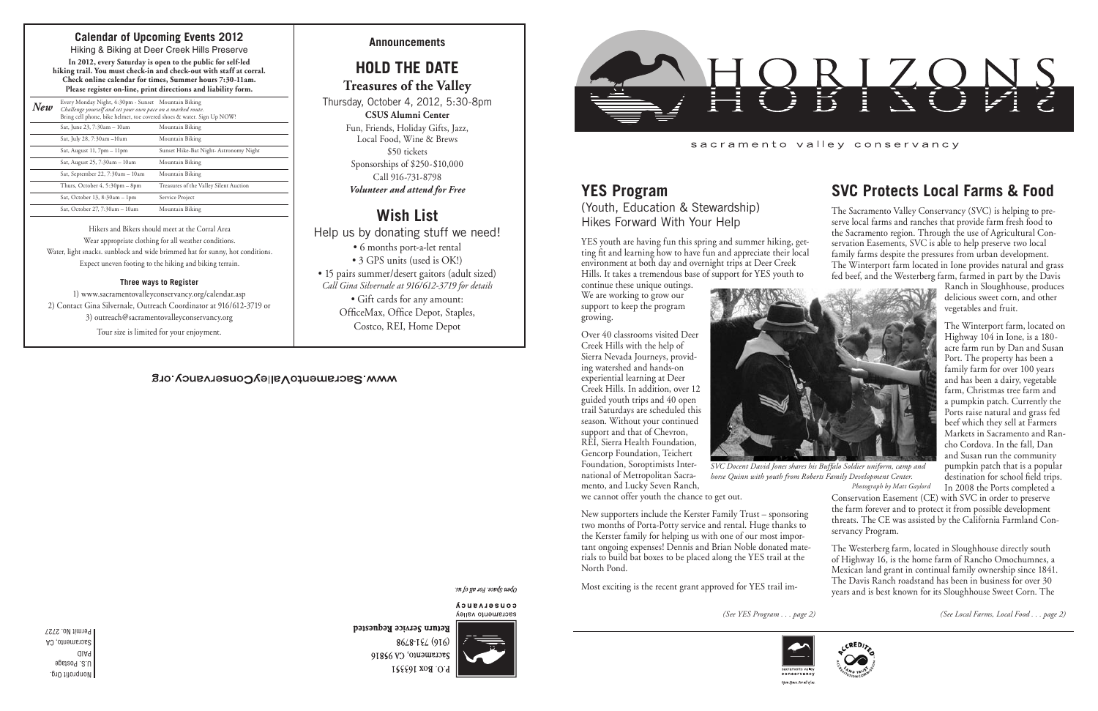Nonprofit Org. U.S. Postage PAID

Sacramento, CA Permit No. 2727

### WWW.SacramentoValleyConservancy.org

*(See YES Program . . . page 2) (See Local Farms, Local Food . . . page 2)*



### **SVC Protects Local Farms & Food**

The Sacramento Valley Conservancy (SVC) is helping to preserve local farms and ranches that provide farm fresh food to the Sacramento region. Through the use of Agricultural Conservation Easements, SVC is able to help preserve two local family farms despite the pressures from urban development. The Winterport farm located in Ione provides natural and grass fed beef, and the Westerberg farm, farmed in part by the Davis

Ranch in Sloughhouse, produces delicious sweet corn, and other vegetables and fruit.

The Winterport farm, located on Highway 104 in Ione, is a 180 acre farm run by Dan and Susan Port. The property has been a family farm for over 100 years and has been a dairy, vegetable farm, Christmas tree farm and a pumpkin patch. Currently the Ports raise natural and grass fed beef which they sell at Farmers Markets in Sacramento and Rancho Cordova. In the fall, Dan and Susan run the community pumpkin patch that is a popular destination for school field trips. In 2008 the Ports completed a

Conservation Easement (CE) with SVC in order to preserve the farm forever and to protect it from possible development threats. The CE was assisted by the California Farmland Conservancy Program.

The Westerberg farm, located in Sloughhouse directly south of Highway 16, is the home farm of Rancho Omochumnes, a Mexican land grant in continual family ownership since 1841. The Davis Ranch roadstand has been in business for over 30 years and is best known for its Sloughhouse Sweet Corn. The

## **YES Program**

(Youth, Education & Stewardship) Hikes Forward With Your Help

YES youth are having fun this spring and summer hiking, getting fit and learning how to have fun and appreciate their local environment at both day and overnight trips at Deer Creek Hills. It takes a tremendous base of support for YES youth to

continue these unique outings. We are working to grow our support to keep the program growing.

Over 40 classrooms visited Deer Creek Hills with the help of Sierra Nevada Journeys, providing watershed and hands-on experiential learning at Deer Creek Hills. In addition, over 12 guided youth trips and 40 open trail Saturdays are scheduled this season. Without your continued support and that of Chevron, REI, Sierra Health Foundation, Gencorp Foundation, Teichert Foundation, Soroptimists International of Metropolitan Sacramento, and Lucky Seven Ranch,



we cannot offer youth the chance to get out.

New supporters include the Kerster Family Trust – sponsoring two months of Porta-Potty service and rental. Huge thanks to the Kerster family for helping us with one of our most important ongoing expenses! Dennis and Brian Noble donated materials to build bat boxes to be placed along the YES trail at the North Pond.

Most exciting is the recent grant approved for YES trail im-



Open Space. For all of u

**Announcements**

# **HOLD THE DATE**

**Treasures of the Valley**

Thursday, October 4, 2012, 5:30-8pm **CSUS Alumni Center**

Fun, Friends, Holiday Gifts, Jazz, Local Food, Wine & Brews \$50 tickets Sponsorships of \$250-\$10,000 Call 916-731-8798 *Volunteer and attend for Free*

# **Wish List**

Help us by donating stuff we need!

- 6 months port-a-let rental
- 3 GPS units (used is OK!)

• 15 pairs summer/desert gaitors (adult sized) *Call Gina Silvernale at 916/612-3719 for details*

• Gift cards for any amount:

OfficeMax, Office Depot, Staples, Costco, REI, Home Depot

#### sn fo yp 104 sopds uado

CONSELASUCA sacramento valley



Return Service Requested 8648-184 (916) Sacramento, CA 95816 P.O. Box 163551



sacramento valley conservancy

### **Calendar of Upcoming Events 2012**

Hiking & Biking at Deer Creek Hills Preserve **In 2012, every Saturday is open to the public for self-led hiking trail. You must check-in and check-out with staff at corral. Check online calendar for times, Summer hours 7:30-11am. Please register on-line, print directions and liability form.**

| New | Every Monday Night, 4:30pm - Sunset Mountain Biking<br>Challenge yourself and set your own pace on a marked route.<br>Bring cell phone, bike helmet, toe covered shoes & water. Sign Up NOW! |                                        |
|-----|----------------------------------------------------------------------------------------------------------------------------------------------------------------------------------------------|----------------------------------------|
|     | Sat, June 23, 7:30am - 10am                                                                                                                                                                  | Mountain Biking                        |
|     | Sat, July 28, 7:30am -10am                                                                                                                                                                   | Mountain Biking                        |
|     | Sat, August 11, 7pm - 11pm                                                                                                                                                                   | Sunset Hike-Bat Night- Astronomy Night |
|     | Sat, August 25, 7:30am - 10am                                                                                                                                                                | Mountain Biking                        |
|     | Sat, September 22, 7:30am - 10am                                                                                                                                                             | Mountain Biking                        |
|     | Thurs, October 4, 5:30pm - 8pm                                                                                                                                                               | Treasures of the Valley Silent Auction |
|     | Sat, October 13, 8:30am - 1pm                                                                                                                                                                | Service Project                        |
|     | Sat, October 27, 7:30am - 10am                                                                                                                                                               | Mountain Biking                        |

Hikers and Bikers should meet at the Corral Area Wear appropriate clothing for all weather conditions. Water, light snacks. sunblock and wide brimmed hat for sunny, hot conditions. Expect uneven footing to the hiking and biking terrain.

#### **Three ways to Register**

1) www.sacramentovalleyconservancy.org/calendar.asp 2) Contact Gina Silvernale, Outreach Coordinator at 916/612-3719 or 3) outreach@sacramentovalleyconservancy.org Tour size is limited for your enjoyment.

*SVC Docent David Jones shares his Buffalo Soldier uniform, camp and horse Quinn with youth from Roberts Family Development Center. Photograph by Matt Gaylord*